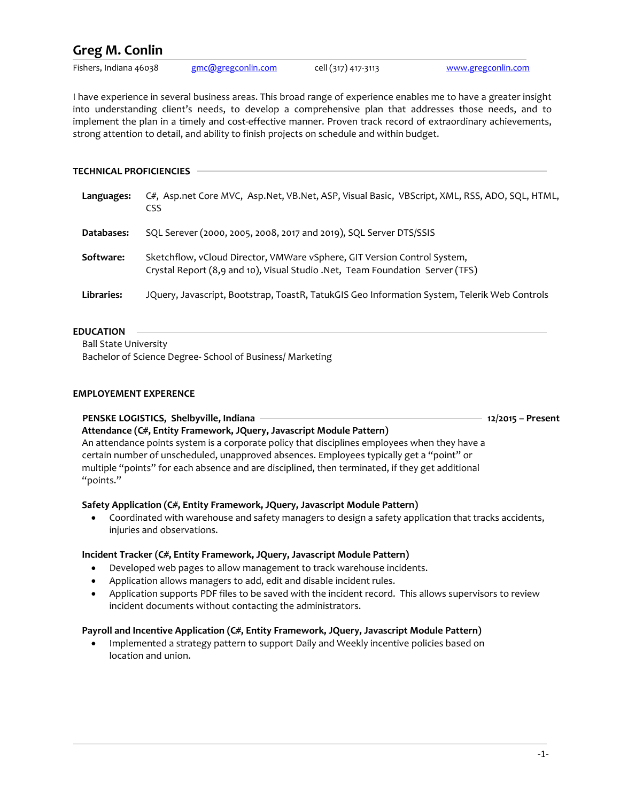# **Greg M. Conlin**

Fishers, Indiana 46038 [gmc@gregconlin.com](mailto:gmc@gregconlin.com) cell (317) 417-3113 [www.gregconlin.com](http://www.gregconlin.com/)

I have experience in several business areas. This broad range of experience enables me to have a greater insight into understanding client's needs, to develop a comprehensive plan that addresses those needs, and to implement the plan in a timely and cost-effective manner. Proven track record of extraordinary achievements, strong attention to detail, and ability to finish projects on schedule and within budget.

## **TECHNICAL PROFICIENCIES**

| Languages:        | C#, Asp.net Core MVC, Asp.Net, VB.Net, ASP, Visual Basic, VBScript, XML, RSS, ADO, SQL, HTML,<br>CSS                                                      |
|-------------------|-----------------------------------------------------------------------------------------------------------------------------------------------------------|
| Databases:        | SQL Serever (2000, 2005, 2008, 2017 and 2019), SQL Server DTS/SSIS                                                                                        |
| Software:         | Sketchflow, vCloud Director, VMWare vSphere, GIT Version Control System,<br>Crystal Report (8,9 and 10), Visual Studio .Net, Team Foundation Server (TFS) |
| <b>Libraries:</b> | JQuery, Javascript, Bootstrap, ToastR, TatukGIS Geo Information System, Telerik Web Controls                                                              |

## **EDUCATION**

Ball State University

Bachelor of Science Degree- School of Business/ Marketing

# **EMPLOYEMENT EXPERENCE**

## **PENSKE LOGISTICS, Shelbyville, Indiana 12/2015 – Present**

 **Attendance (C#, Entity Framework, JQuery, Javascript Module Pattern)**  An attendance points system is a corporate policy that disciplines employees when they have a certain number of unscheduled, unapproved absences. Employees typically get a "point" or multiple "points" for each absence and are disciplined, then terminated, if they get additional "points."

# **Safety Application (C#, Entity Framework, JQuery, Javascript Module Pattern)**

• Coordinated with warehouse and safety managers to design a safety application that tracks accidents, injuries and observations.

## **Incident Tracker (C#, Entity Framework, JQuery, Javascript Module Pattern)**

- Developed web pages to allow management to track warehouse incidents.
- Application allows managers to add, edit and disable incident rules.
- Application supports PDF files to be saved with the incident record. This allows supervisors to review incident documents without contacting the administrators.

## **Payroll and Incentive Application (C#, Entity Framework, JQuery, Javascript Module Pattern)**

• Implemented a strategy pattern to support Daily and Weekly incentive policies based on location and union.